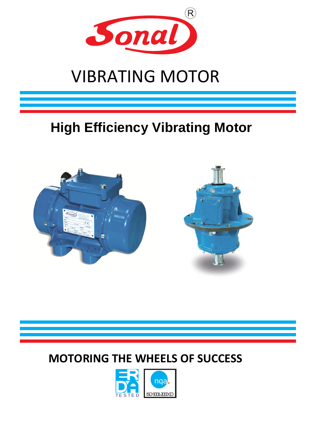

# VIBRATING MOTOR

## **High Efficiency Vibrating Motor**



## **MOTORING THE WHEELS OF SUCCESS**

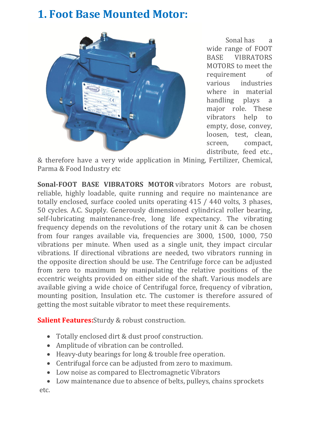### **1. Foot Base Mounted Motor:**



Sonal has a wide range of FOOT BASE VIBRATORS MOTORS to meet the requirement of various industries where in material handling plays a major role. These vibrators help to empty, dose, convey, loosen, test, clean, screen, compact, distribute, feed etc.,

& therefore have a very wide application in Mining, Fertilizer, Chemical, Parma & Food Industry etc

**Sonal-FOOT BASE VIBRATORS MOTOR** vibrators Motors are robust, reliable, highly loadable, quite running and require no maintenance are totally enclosed, surface cooled units operating 415 / 440 volts, 3 phases, 50 cycles. A.C. Supply. Generously dimensioned cylindrical roller bearing, self-lubricating maintenance-free, long life expectancy. The vibrating frequency depends on the revolutions of the rotary unit & can be chosen from four ranges available via, frequencies are 3000, 1500, 1000, 750 vibrations per minute. When used as a single unit, they impact circular vibrations. If directional vibrations are needed, two vibrators running in the opposite direction should be use. The Centrifuge force can be adjusted from zero to maximum by manipulating the relative positions of the eccentric weights provided on either side of the shaft. Various models are available giving a wide choice of Centrifugal force, frequency of vibration, mounting position, Insulation etc. The customer is therefore assured of getting the most suitable vibrator to meet these requirements.

**Salient Features:**Sturdy & robust construction.

- Totally enclosed dirt & dust proof construction.
- Amplitude of vibration can be controlled.
- Heavy-duty bearings for long & trouble free operation.
- Centrifugal force can be adjusted from zero to maximum.
- Low noise as compared to Electromagnetic Vibrators
- Low maintenance due to absence of belts, pulleys, chains sprockets

etc.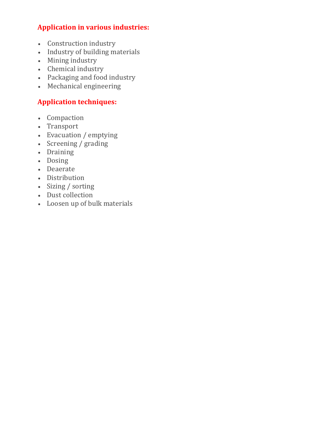#### **Application in various industries:**

- Construction industry
- Industry of building materials
- Mining industry
- Chemical industry
- Packaging and food industry
- Mechanical engineering

#### **Application techniques:**

- Compaction
- Transport
- Evacuation / emptying
- Screening / grading
- Draining
- Dosing
- Deaerate
- Distribution
- Sizing / sorting
- Dust collection
- Loosen up of bulk materials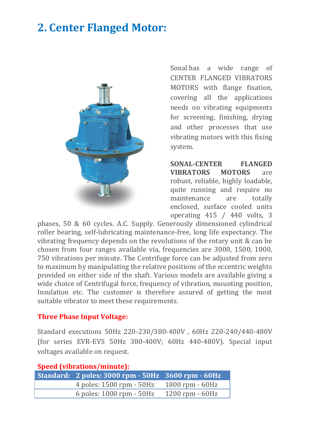## **2. Center Flanged Motor:**



Sonal has a wide range of CENTER FLANGED VIBRATORS MOTORS with flange fixation, covering all the applications needs on vibrating equipments for screening, finishing, drying and other processes that use vibrating motors with this fixing system.

**SONAL-CENTER FLANGED VIBRATORS MOTORS** are robust, reliable, highly loadable, quite running and require no maintenance are totally enclosed, surface cooled units operating 415 / 440 volts, 3

phases, 50 & 60 cycles. A.C. Supply. Generously dimensioned cylindrical roller bearing, self-lubricating maintenance-free, long life expectancy. The vibrating frequency depends on the revolutions of the rotary unit & can be chosen from four ranges available via, frequencies are 3000, 1500, 1000, 750 vibrations per minute. The Centrifuge force can be adjusted from zero to maximum by manipulating the relative positions of the eccentric weights provided on either side of the shaft. Various models are available giving a wide choice of Centrifugal force, frequency of vibration, mounting position, Insulation etc. The customer is therefore assured of getting the most suitable vibrator to meet these requirements.

#### **Three Phase Input Voltage:**

Standard executions 50Hz 220-230/380-400V , 60Hz 220-240/440-480V (for series EVR-EVS 50Hz 380-400V; 60Hz 440-480V). Special input voltages available on request.

| <b>Speed (vibrations/minute):</b> |                                                    |                     |
|-----------------------------------|----------------------------------------------------|---------------------|
|                                   | Standard: 2 poles: 3000 rpm - 50Hz 3600 rpm - 60Hz |                     |
|                                   | 4 poles: 1500 rpm - 50Hz                           | $1800$ rpm $-60$ Hz |
|                                   | 6 poles: 1000 rpm - 50Hz                           | $1200$ rpm $-60$ Hz |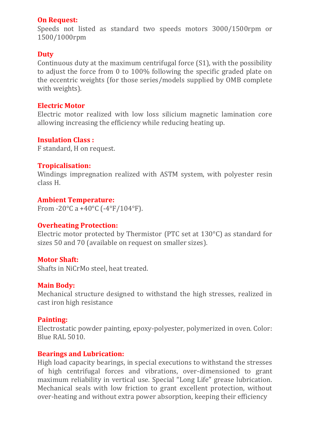#### **On Request:**

Speeds not listed as standard two speeds motors 3000/1500rpm or 1500/1000rpm

#### **Duty**

Continuous duty at the maximum centrifugal force (S1), with the possibility to adjust the force from 0 to 100% following the specific graded plate on the eccentric weights (for those series/models supplied by OMB complete with weights).

#### **Electric Motor**

Electric motor realized with low loss silicium magnetic lamination core allowing increasing the efficiency while reducing heating up.

#### **Insulation Class :**

F standard, H on request.

#### **Tropicalisation:**

Windings impregnation realized with ASTM system, with polyester resin class H.

#### **Ambient Temperature:**

From -20 $^{\circ}$ C a +40 $^{\circ}$ C (-4 $^{\circ}$ F/104 $^{\circ}$ F).

#### **Overheating Protection:**

Electric motor protected by Thermistor (PTC set at 130°C) as standard for sizes 50 and 70 (available on request on smaller sizes).

#### **Motor Shaft:**

Shafts in NiCrMo steel, heat treated.

#### **Main Body:**

Mechanical structure designed to withstand the high stresses, realized in cast iron high resistance

#### **Painting:**

Electrostatic powder painting, epoxy-polyester, polymerized in oven. Color: Blue RAL 5010.

#### **Bearings and Lubrication:**

High load capacity bearings, in special executions to withstand the stresses of high centrifugal forces and vibrations, over-dimensioned to grant maximum reliability in vertical use. Special "Long Life" grease lubrication. Mechanical seals with low friction to grant excellent protection, without over-heating and without extra power absorption, keeping their efficiency